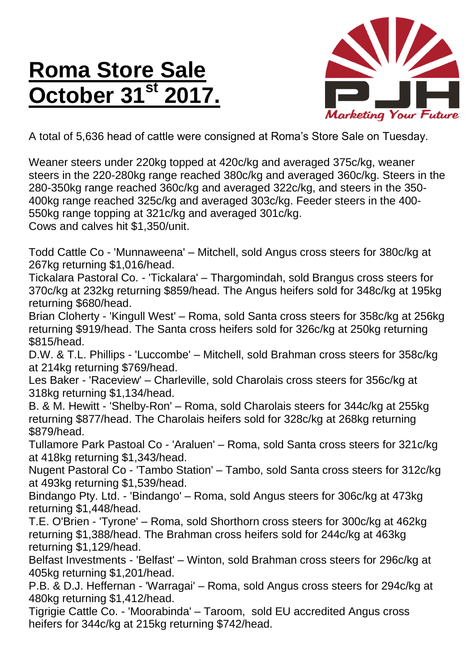## **Roma Store Sale October 31st 2017.**



A total of 5,636 head of cattle were consigned at Roma's Store Sale on Tuesday.

Weaner steers under 220kg topped at 420c/kg and averaged 375c/kg, weaner steers in the 220-280kg range reached 380c/kg and averaged 360c/kg. Steers in the 280-350kg range reached 360c/kg and averaged 322c/kg, and steers in the 350- 400kg range reached 325c/kg and averaged 303c/kg. Feeder steers in the 400- 550kg range topping at 321c/kg and averaged 301c/kg. Cows and calves hit \$1,350/unit.

Todd Cattle Co - 'Munnaweena' – Mitchell, sold Angus cross steers for 380c/kg at 267kg returning \$1,016/head.

Tickalara Pastoral Co. - 'Tickalara' – Thargomindah, sold Brangus cross steers for 370c/kg at 232kg returning \$859/head. The Angus heifers sold for 348c/kg at 195kg returning \$680/head.

Brian Cloherty - 'Kingull West' – Roma, sold Santa cross steers for 358c/kg at 256kg returning \$919/head. The Santa cross heifers sold for 326c/kg at 250kg returning \$815/head.

D.W. & T.L. Phillips - 'Luccombe' – Mitchell, sold Brahman cross steers for 358c/kg at 214kg returning \$769/head.

Les Baker - 'Raceview' – Charleville, sold Charolais cross steers for 356c/kg at 318kg returning \$1,134/head.

B. & M. Hewitt - 'Shelby-Ron' – Roma, sold Charolais steers for 344c/kg at 255kg returning \$877/head. The Charolais heifers sold for 328c/kg at 268kg returning \$879/head.

Tullamore Park Pastoal Co - 'Araluen' – Roma, sold Santa cross steers for 321c/kg at 418kg returning \$1,343/head.

Nugent Pastoral Co - 'Tambo Station' – Tambo, sold Santa cross steers for 312c/kg at 493kg returning \$1,539/head.

Bindango Pty. Ltd. - 'Bindango' – Roma, sold Angus steers for 306c/kg at 473kg returning \$1,448/head.

T.E. O'Brien - 'Tyrone' – Roma, sold Shorthorn cross steers for 300c/kg at 462kg returning \$1,388/head. The Brahman cross heifers sold for 244c/kg at 463kg returning \$1,129/head.

Belfast Investments - 'Belfast' – Winton, sold Brahman cross steers for 296c/kg at 405kg returning \$1,201/head.

P.B. & D.J. Heffernan - 'Warragai' – Roma, sold Angus cross steers for 294c/kg at 480kg returning \$1,412/head.

Tigrigie Cattle Co. - 'Moorabinda' – Taroom, sold EU accredited Angus cross heifers for 344c/kg at 215kg returning \$742/head.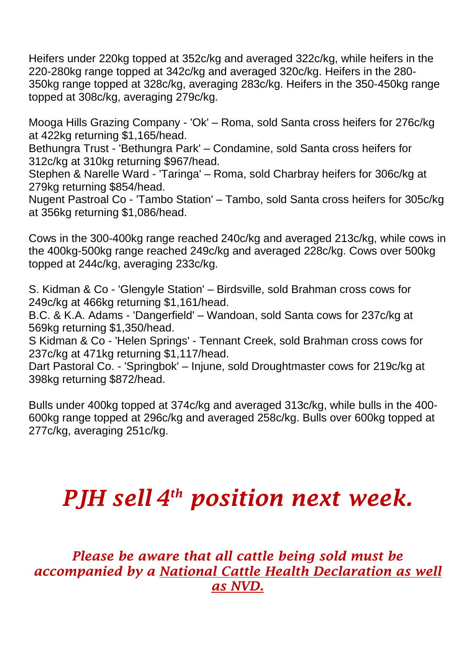Heifers under 220kg topped at 352c/kg and averaged 322c/kg, while heifers in the 220-280kg range topped at 342c/kg and averaged 320c/kg. Heifers in the 280- 350kg range topped at 328c/kg, averaging 283c/kg. Heifers in the 350-450kg range topped at 308c/kg, averaging 279c/kg.

Mooga Hills Grazing Company - 'Ok' – Roma, sold Santa cross heifers for 276c/kg at 422kg returning \$1,165/head.

Bethungra Trust - 'Bethungra Park' – Condamine, sold Santa cross heifers for 312c/kg at 310kg returning \$967/head.

Stephen & Narelle Ward - 'Taringa' – Roma, sold Charbray heifers for 306c/kg at 279kg returning \$854/head.

Nugent Pastroal Co - 'Tambo Station' – Tambo, sold Santa cross heifers for 305c/kg at 356kg returning \$1,086/head.

Cows in the 300-400kg range reached 240c/kg and averaged 213c/kg, while cows in the 400kg-500kg range reached 249c/kg and averaged 228c/kg. Cows over 500kg topped at 244c/kg, averaging 233c/kg.

S. Kidman & Co - 'Glengyle Station' – Birdsville, sold Brahman cross cows for 249c/kg at 466kg returning \$1,161/head.

B.C. & K.A. Adams - 'Dangerfield' – Wandoan, sold Santa cows for 237c/kg at 569kg returning \$1,350/head.

S Kidman & Co - 'Helen Springs' - Tennant Creek, sold Brahman cross cows for 237c/kg at 471kg returning \$1,117/head.

Dart Pastoral Co. - 'Springbok' – Injune, sold Droughtmaster cows for 219c/kg at 398kg returning \$872/head.

Bulls under 400kg topped at 374c/kg and averaged 313c/kg, while bulls in the 400- 600kg range topped at 296c/kg and averaged 258c/kg. Bulls over 600kg topped at 277c/kg, averaging 251c/kg.

## *PJH sell 4 th position next week.*

*Please be aware that all cattle being sold must be accompanied by a National Cattle Health Declaration as well as NVD.*